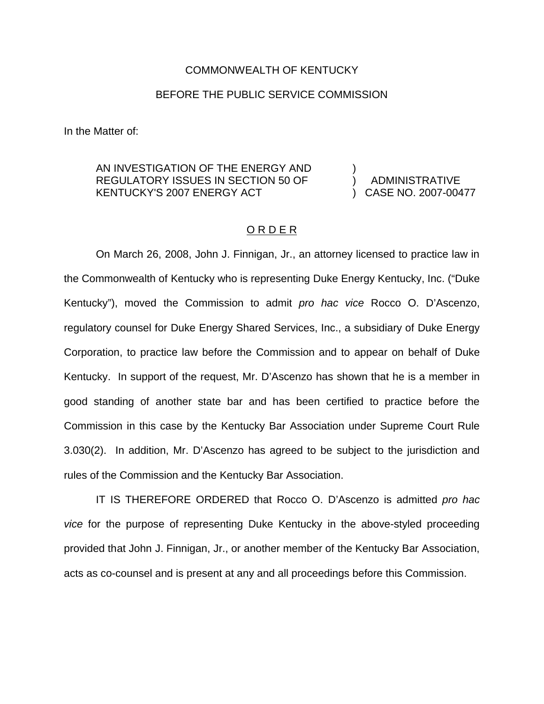## COMMONWEALTH OF KENTUCKY

## BEFORE THE PUBLIC SERVICE COMMISSION

In the Matter of:

## AN INVESTIGATION OF THE ENERGY AND REGULATORY ISSUES IN SECTION 50 OF KENTUCKY'S 2007 ENERGY ACT

) ) ADMINISTRATIVE ) CASE NO. 2007-00477

## O R D E R

On March 26, 2008, John J. Finnigan, Jr., an attorney licensed to practice law in the Commonwealth of Kentucky who is representing Duke Energy Kentucky, Inc. ("Duke Kentucky"), moved the Commission to admit *pro hac vice* Rocco O. D'Ascenzo, regulatory counsel for Duke Energy Shared Services, Inc., a subsidiary of Duke Energy Corporation, to practice law before the Commission and to appear on behalf of Duke Kentucky. In support of the request, Mr. D'Ascenzo has shown that he is a member in good standing of another state bar and has been certified to practice before the Commission in this case by the Kentucky Bar Association under Supreme Court Rule 3.030(2). In addition, Mr. D'Ascenzo has agreed to be subject to the jurisdiction and rules of the Commission and the Kentucky Bar Association.

IT IS THEREFORE ORDERED that Rocco O. D'Ascenzo is admitted *pro hac vice* for the purpose of representing Duke Kentucky in the above-styled proceeding provided that John J. Finnigan, Jr., or another member of the Kentucky Bar Association, acts as co-counsel and is present at any and all proceedings before this Commission.